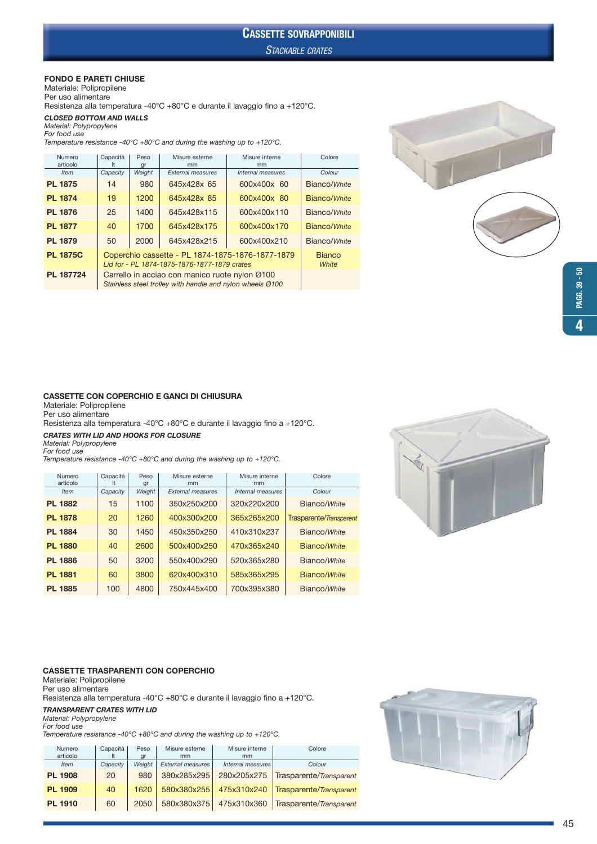#### FONDO E PARETI CHIUSE

Materiale: Polipropilene Per uso alimentare

Resistenza alla temperatura -40°C +80°C e durante il lavaggio fino a +120°C.

#### CLOSED BOTTOM AND WALLS Material: Polypropylene

For food use

Temperature resistance -40°C +80°C and during the washing up to +120°C.

| Capacità<br>It | Peso<br>gr                                                                                       | Misure esterne<br>mm | Misure interne<br>mm | Colore                                                                                                      |  |
|----------------|--------------------------------------------------------------------------------------------------|----------------------|----------------------|-------------------------------------------------------------------------------------------------------------|--|
| Capacity       | Weight                                                                                           | External measures    | Internal measures    | Colour                                                                                                      |  |
| 14             | 980                                                                                              | 645x428x 65          | 600x400x 60          | Bianco/White                                                                                                |  |
| 19             | 1200                                                                                             | 645x428x 85          | 600x400x 80          | Bianco/White                                                                                                |  |
| 25             | 1400                                                                                             | 645x428x115          | 600x400x110          | Bianco/White                                                                                                |  |
| 40             | 1700                                                                                             | 645x428x175          | 600x400x170          | Bianco/White                                                                                                |  |
| 50             | 2000                                                                                             | 645x428x215          | 600x400x210          | Bianco/White                                                                                                |  |
|                | Coperchio cassette - PL 1874-1875-1876-1877-1879<br>Lid for - PL 1874-1875-1876-1877-1879 crates |                      |                      |                                                                                                             |  |
|                |                                                                                                  |                      |                      |                                                                                                             |  |
|                |                                                                                                  |                      |                      | Carrello in acciao con manico ruote nylon Ø100<br>Stainless steel trolley with handle and nylon wheels Ø100 |  |



#### CASSETTE CON COPERCHIO E GANCI DI CHIUSURA

Materiale: Polipropilene Per uso alimentare

Resistenza alla temperatura -40°C +80°C e durante il lavaggio fino a +120°C.

### CRATES WITH LID AND HOOKS FOR CLOSURE

Material: Polypropylene For food use

Temperature resistance -40°C +80°C and during the washing up to +120°C.

| Numero<br>articolo | Capacità | Peso<br>gr | Misure esterne<br>mm     | Misure interne<br>mm | Colore                  |
|--------------------|----------|------------|--------------------------|----------------------|-------------------------|
| <b>Item</b>        | Capacity | Weight     | <b>External measures</b> | Internal measures    | Colour                  |
| <b>PL 1882</b>     | 15       | 1100       | 350x250x200              | 320x220x200          | Bianco/White            |
| <b>PL 1878</b>     | 20       | 1260       | 400x300x200              | 365x265x200          | Trasparente/Transparent |
| <b>PL 1884</b>     | 30       | 1450       | 450x350x250              | 410x310x237          | Bianco/White            |
| <b>PL 1880</b>     | 40       | 2600       | 500x400x250              | 470x365x240          | Bianco/White            |
| <b>PL 1886</b>     | 50       | 3200       | 550x400x290              | 520x365x280          | Bianco/White            |
| <b>PL 1881</b>     | 60       | 3800       | 620x400x310              | 585x365x295          | Bianco/White            |
| <b>PL 1885</b>     | 100      | 4800       | 750x445x400              | 700x395x380          | Bianco/White            |



#### CASSETTE TRASPARENTI CON COPERCHIO

Materiale: Polipropilene Per uso alimentare Resistenza alla temperatura -40°C +80°C e durante il lavaggio fino a +120°C. TRANSPARENT CRATES WITH LID Material: Polypropylene For food use

Temperature resistance -40°C +80°C and during the washing up to +120°C.

| Numero<br>articolo | Capacità | Peso<br>gr | Misure esterne<br>mm     | Misure interne<br>mm | Colore                  |  |
|--------------------|----------|------------|--------------------------|----------------------|-------------------------|--|
| <b>Item</b>        | Capacity | Weight     | <b>External measures</b> | Internal measures    | Colour                  |  |
| <b>PL 1908</b>     | 20       | 980        | 380x285x295              | 280x205x275          | Trasparente/Transparent |  |
| <b>PL 1909</b>     | 40       | 1620       | 580x380x255              | 475x310x240          | Trasparente/Transparent |  |
| <b>PL 1910</b>     | 60       | 2050       | 580x380x375              | 475x310x360          | Trasparente/Transparent |  |

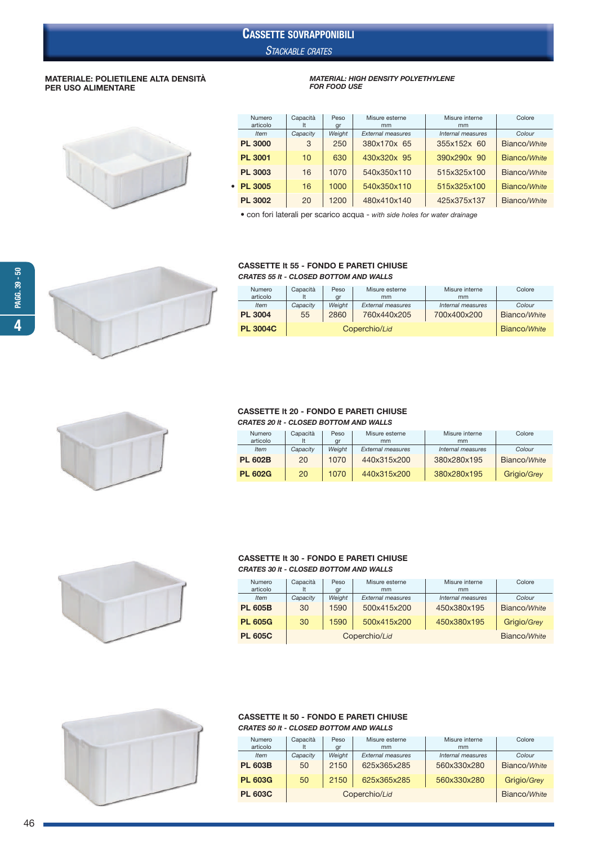# CASSETTE SOVRAPPONIBILI

STACKABLE CRATES

•

### MATERIALE: POLIETILENE ALTA DENSITÀ PER USO ALIMENTARE

# MATERIAL: HIGH DENSITY POLYETHYLENE FOR FOOD USE

| Numero<br>articolo | Capacità<br>It | Peso<br>gr | Misure esterne<br>mm     | Misure interne<br>mm | Colore       |
|--------------------|----------------|------------|--------------------------|----------------------|--------------|
| <b>Item</b>        | Capacity       | Weight     | <b>External measures</b> | Internal measures    | Colour       |
| <b>PL 3000</b>     | 3              | 250        | 380x170x 65              | 355x152x 60          | Bianco/White |
| <b>PL 3001</b>     | 10             | 630        | 430x320x 95              | 390x290x 90          | Bianco/White |
| <b>PL 3003</b>     | 16             | 1070       | 540x350x110              | 515x325x100          | Bianco/White |
| <b>PL 3005</b>     | 16             | 1000       | 540x350x110              | 515x325x100          | Bianco/White |
| <b>PL 3002</b>     | 20             | 1200       | 480x410x140              | 425x375x137          | Bianco/White |

• con fori laterali per scarico acqua - with side holes for water drainage

#### CASSETTE lt 55 - FONDO E PARETI CHIUSE CRATES 55 lt - CLOSED BOTTOM AND WALLS

| Numero          | Capacità | Peso         | Misure esterne           | Misure interne    | Colore       |
|-----------------|----------|--------------|--------------------------|-------------------|--------------|
| articolo        |          | qr           | mm                       | mm                |              |
| <b>Item</b>     | Capacity | Weight       | <b>External measures</b> | Internal measures | Colour       |
| <b>PL 3004</b>  | 55       | 2860         | 760x440x205              | 700x400x200       | Bianco/White |
| <b>PL 3004C</b> |          | Bianco/White |                          |                   |              |



#### CASSETTE lt 20 - FONDO E PARETI CHIUSE CRATES 20 lt - CLOSED BOTTOM AND WALLS

| <u>UNAILU LU ILE ULUJLU DUTTUM AND MALLJ</u> |          |        |                          |                   |              |  |  |  |  |  |
|----------------------------------------------|----------|--------|--------------------------|-------------------|--------------|--|--|--|--|--|
| Numero                                       | Capacità | Peso   | Misure esterne           | Misure interne    | Colore       |  |  |  |  |  |
| articolo                                     |          | ar     | mm                       | mm                |              |  |  |  |  |  |
| <b>Item</b>                                  | Capacity | Weiaht | <b>External measures</b> | Internal measures | Colour       |  |  |  |  |  |
| <b>PL 602B</b>                               | 20       | 1070   | 440x315x200              | 380x280x195       | Bianco/White |  |  |  |  |  |

**PL 602G** 20 1070 440x315x200 380x280x195 Grigio/Grey



#### CASSETTE lt 30 - FONDO E PARETI CHIUSE CRATES 30 lt - CLOSED BOTTOM AND WALLS

| Numero<br>articolo | Capacità | Peso<br>gr   | Misure esterne<br>mm     | Misure interne<br>mm | Colore       |
|--------------------|----------|--------------|--------------------------|----------------------|--------------|
| <i>Item</i>        | Capacity | Weight       | <b>External measures</b> | Internal measures    | Colour       |
| <b>PL 605B</b>     | 30       | 1590         | 500x415x200              | 450x380x195          | Bianco/White |
| <b>PL 605G</b>     | 30       | 1590         | 500x415x200              | 450x380x195          | Grigio/Grey  |
| <b>PL 605C</b>     |          | Bianco/White |                          |                      |              |



#### CASSETTE lt 50 - FONDO E PARETI CHIUSE CRATES 50 lt - CLOSED BOTTOM AND WALLS

| <b>Numero</b><br>articolo | Capacità<br>It | Peso<br>gr   | Misure esterne<br>mm     | Misure interne<br>mm | Colore       |
|---------------------------|----------------|--------------|--------------------------|----------------------|--------------|
| <b>Item</b>               | Capacity       | Weight       | <b>External measures</b> | Internal measures    | Colour       |
| <b>PL 603B</b>            | 50             | 2150         | 625x365x285              | 560x330x280          | Bianco/White |
| <b>PL 603G</b>            | 50             | 2150         | 625x365x285              | 560x330x280          | Grigio/Grey  |
| <b>PL 603C</b>            |                | Bianco/White |                          |                      |              |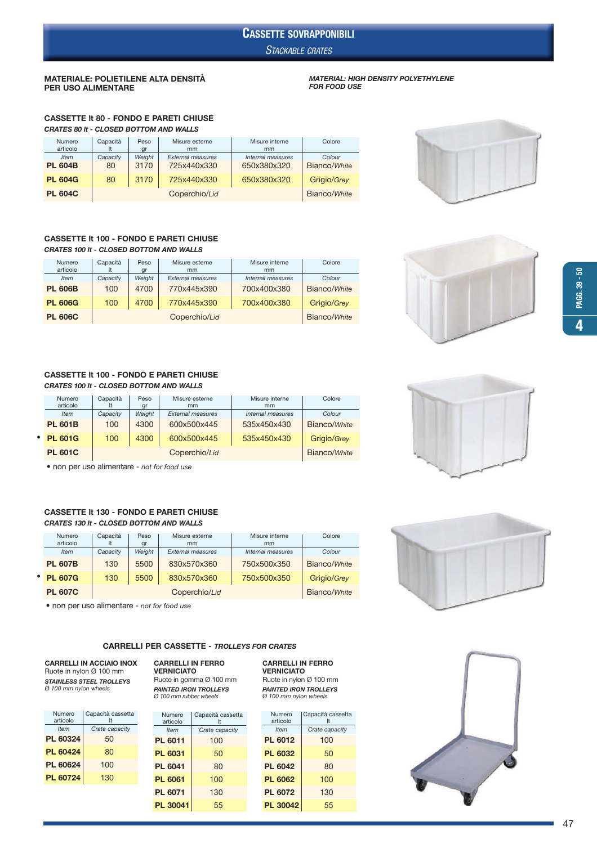### STACKABLE CRATES CASSETTE SOVRAPPONIBILI

#### MATERIALE: POLIETILENE ALTA DENSITÀ PER USO ALIMENTARE

#### MATERIAL: HIGH DENSITY POLYETHYLENE FOR FOOD USE

CASSETTE lt 80 - FONDO E PARETI CHIUSE CRATES 80 lt - CLOSED BOTTOM AND WALLS

| Numero<br>articolo            | Capacità       | Peso<br>gr     | Misure esterne<br>mm                    | Misure interne<br>mm             | Colore                 |
|-------------------------------|----------------|----------------|-----------------------------------------|----------------------------------|------------------------|
| <b>Item</b><br><b>PL 604B</b> | Capacity<br>80 | Weight<br>3170 | <b>External measures</b><br>725x440x330 | Internal measures<br>650x380x320 | Colour<br>Bianco/White |
| <b>PL 604G</b>                | 80             | 3170           | 725x440x330                             | 650x380x320                      | Grigio/Grey            |
| <b>PL 604C</b>                |                |                | Coperchio/Lid                           |                                  | Bianco/White           |

### CASSETTE lt 100 - FONDO E PARETI CHIUSE

CRATES 100 lt - CLOSED BOTTOM AND WALLS

| Numero<br>articolo | Capacità<br>It | Peso<br>gr | Misure esterne<br>mm     | Misure interne<br>mm | Colore       |
|--------------------|----------------|------------|--------------------------|----------------------|--------------|
| <b>Item</b>        | Capacity       | Weight     | <b>External measures</b> | Internal measures    | Colour       |
| <b>PL 606B</b>     | 100            | 4700       | 770x445x390              | 700x400x380          | Bianco/White |
| <b>PL 606G</b>     | 100            | 4700       | 770x445x390              | 700x400x380          | Grigio/Grey  |
| <b>PL 606C</b>     |                |            | Coperchio/Lid            |                      | Bianco/White |

#### CASSETTE lt 100 - FONDO E PARETI CHIUSE CRATES 100 lt - CLOSED BOTTOM AND WALLS

| Numero         | Capacità | Peso         | Misure esterne           | Misure interne    | Colore       |
|----------------|----------|--------------|--------------------------|-------------------|--------------|
| articolo       |          | gr           | mm                       | mm                |              |
| <b>Item</b>    | Capacity | Weight       | <b>External measures</b> | Internal measures | Colour       |
| <b>PL 601B</b> | 100      | 4300         | 600x500x445              | 535x450x430       | Bianco/White |
| • PL 601G      | 100      | 4300         | 600x500x445              | 535x450x430       | Grigio/Grey  |
| <b>PL 601C</b> |          | Bianco/White |                          |                   |              |

• non per uso alimentare - not for food use

### CASSETTE lt 130 - FONDO E PARETI CHIUSE CRATES 130 lt - CLOSED BOTTOM AND WALLS

| Numero<br>articolo | Capacità    | Peso<br>gr   | Misure esterne<br>mm     | Misure interne<br>mm | Colore       |
|--------------------|-------------|--------------|--------------------------|----------------------|--------------|
| Item               | Capacity    | Weiaht       | <b>External measures</b> | Internal measures    | Colour       |
| <b>PL 607B</b>     | 130         | 5500         | 830x570x360              | 750x500x350          | Bianco/White |
| <b>• PL 607G</b>   | 130<br>5500 |              | 830x570x360              | 750x500x350          | Grigio/Grey  |
| <b>PL 607C</b>     |             | Bianco/White |                          |                      |              |

• non per uso alimentare - not for food use

#### CARRELLI PER CASSETTE - TROLLEYS FOR CRATES

#### CARRELLI IN ACCIAIO INOX Ruote in nylon Ø 100 mm STAINLESS STEEL TROLLEYS Ø 100 mm nylon wheels

| Numero   | Capacità cassetta |
|----------|-------------------|
| articolo | It                |
| Item     | Crate capacity    |
| PL 60324 | 50                |
| PL 60424 | 80                |
| PL 60624 | 100               |
| PL 60724 | 130               |

#### CARRELLI IN FERRO VERNICIATO Ruote in gomma Ø 100 mm

PAINTED IRON TROLLEYS Ø 100 mm rubber wheels

| Numero<br>articolo | Capacità cassetta<br>It |
|--------------------|-------------------------|
| <b>Item</b>        | Crate capacity          |
| PL 6011            | 100                     |
| PL 6031            | 50                      |
| PL 6041            | 80                      |
| <b>PL 6061</b>     | 100                     |
| <b>PL 6071</b>     | 130                     |
| PL 30041           | 55                      |

#### VERNICIATO Ruote in nylon Ø 100 mm PAINTED IRON TROLLEYS Ø 100 mm nylon wheels

CARRELLI IN FERRO

| Numero         | Capacità cassetta |
|----------------|-------------------|
| articolo       | It                |
| <b>Item</b>    | Crate capacity    |
| <b>PL 6012</b> | 100               |
| <b>PL 6032</b> | 50                |
| <b>PL 6042</b> | 80                |
| <b>PL 6062</b> | 100               |
| <b>PL 6072</b> | 130               |
| PL 30042       | 55                |









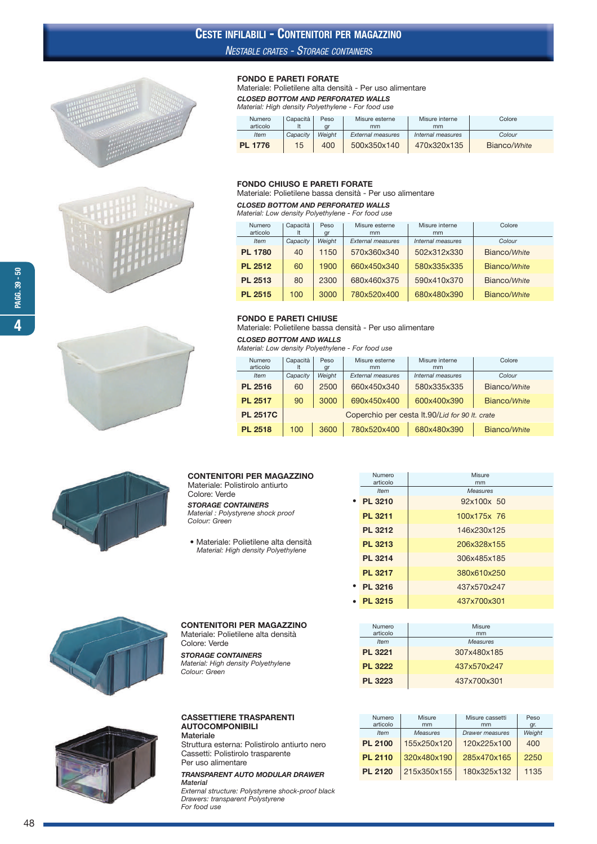## CESTE INFILABILI - CONTENITORI PER MAGAZZINO

### NESTABLE CRATES - STORAGE CONTAINERS

FONDO E PARETI FORATE









### FONDO CHIUSO E PARETI FORATE

Materiale: Polietilene bassa densità - Per uso alimentare

Materiale: Polietilene alta densità - Per uso alimentare

articolo It gr mm mm

CLOSED BOTTOM AND PERFORATED WALLS Material: High density Polyethylene - For food use

#### CLOSED BOTTOM AND PERFORATED WALLS

Material: Low density Polyethylene - For food use

| Numero<br>articolo | Capacità<br>It | Peso<br>gr | Misure esterne<br>mm | Misure interne<br>mm | Colore       |
|--------------------|----------------|------------|----------------------|----------------------|--------------|
| <b>Item</b>        | Capacity       | Weight     | External measures    | Internal measures    | Colour       |
| <b>PL 1780</b>     | 40             | 1150       | 570x360x340          | 502x312x330          | Bianco/White |
| <b>PL 2512</b>     | 60             | 1900       | 660x450x340          | 580x335x335          | Bianco/White |
| PL 2513            | 80             | 2300       | 680x460x375          | 590x410x370          | Bianco/White |
| <b>PL 2515</b>     | 100            | 3000       | 780x520x400          | 680x480x390          | Bianco/White |

Numero Capacità Peso Misure esterne Misure interne Colore<br>articolo It gr mm mm mm

Item Capacity Weight External measures Internal measures Colour **PL 1776** 15 400 500x350x140 470x320x135 Bianco/White

#### FONDO E PARETI CHIUSE

Materiale: Polietilene bassa densità - Per uso alimentare

#### CLOSED BOTTOM AND WALLS

Material: Low density Polyethylene - For food use

| Numero<br>articolo | Capacità<br>Peso<br>It<br>gr                   |      | Misure esterne<br>mm     | Misure interne<br>mm | Colore       |  |
|--------------------|------------------------------------------------|------|--------------------------|----------------------|--------------|--|
| <b>Item</b>        | Weight<br>Capacity                             |      | <b>External measures</b> | Internal measures    | Colour       |  |
| <b>PL 2516</b>     | 60                                             | 2500 | 660x450x340              | 580x335x335          | Bianco/White |  |
| <b>PL 2517</b>     | 90                                             | 3000 | 690x450x400              | 600x400x390          | Bianco/White |  |
| <b>PL 2517C</b>    | Coperchio per cesta It.90/Lid for 90 It. crate |      |                          |                      |              |  |
| <b>PL 2518</b>     | 100                                            | 3600 | 780x520x400              | 680x480x390          | Bianco/White |  |

#### CONTENITORI PER MAGAZZINO

Materiale: Polistirolo antiurto Colore: Verde STORAGE CONTAINERS

Material : Polystyrene shock proof Colour: Green

• Materiale: Polietilene alta densità Material: High density Polyethylene

CONTENITORI PER MAGAZZINO Materiale: Polietilene alta densità

Colore: Verde

Colour: Green

STORAGE CONTAINERS Material: High density Polyethylene

|             | Numero         | Misure          |
|-------------|----------------|-----------------|
|             | articolo       | mm              |
|             | <b>Item</b>    | <b>Measures</b> |
| $\bullet$   | PL 3210        | 92x100x 50      |
|             | <b>PL 3211</b> | 100x175x 76     |
|             | <b>PL 3212</b> | 146x230x125     |
|             | <b>PL 3213</b> | 206x328x155     |
|             | <b>PL 3214</b> | 306x485x185     |
|             | PL 3217        | 380x610x250     |
| $\bullet$   | PL 3216        | 437x570x247     |
| $\bullet$ . | <b>PL 3215</b> | 437x700x301     |





#### CASSETTIERE TRASPARENTI AUTOCOMPONIBILI Materiale

Struttura esterna: Polistirolo antiurto nero Cassetti: Polistirolo trasparente Per uso alimentare

#### TRANSPARENT AUTO MODULAR DRAWER Material

External structure: Polystyrene shock-proof black Drawers: transparent Polystyrene For food use

| .              | .               |
|----------------|-----------------|
| articolo       | mm              |
| <b>Item</b>    | <b>Measures</b> |
| PL 3221        | 307x480x185     |
| <b>PL 3222</b> | 437x570x247     |
| <b>PL 3223</b> | 437x700x301     |
|                |                 |
|                |                 |

Numero Misure

| Numero<br>articolo | Misure<br>mm    | Misure cassetti<br>mm  | Peso<br>gr. |
|--------------------|-----------------|------------------------|-------------|
| <b>Item</b>        | <b>Measures</b> | <b>Drawer</b> measures | Weight      |
| <b>PL 2100</b>     | 155x250x120     | 120x225x100            | 400         |
| <b>PL 2110</b>     | 320x480x190     | 285x470x165            | 2250        |
| <b>PL 2120</b>     | 215x350x155     | 180x325x132            | 1135        |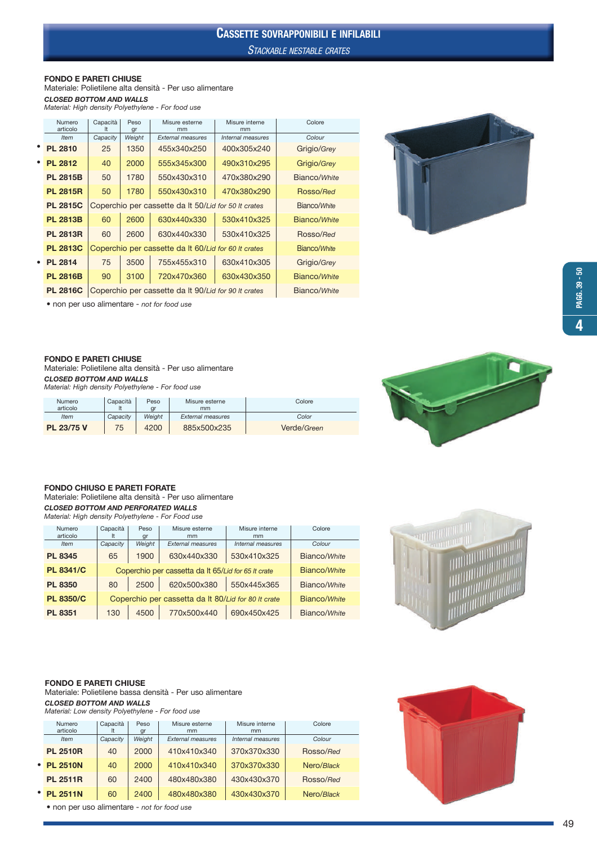# CASSETTE SOVRAPPONIBILI E INFILABILI

STACKABLE NESTABLE CRATES

#### FONDO E PARETI CHIUSE

Materiale: Polietilene alta densità - Per uso alimentare CLOSED BOTTOM AND WALLS

Material: High density Polyethylene - For food use

| Numero<br>articolo | Capacità<br>It                                       | Peso<br>gr | Misure esterne<br>mm                                 | Misure interne<br>mm | Colore       |
|--------------------|------------------------------------------------------|------------|------------------------------------------------------|----------------------|--------------|
| <b>Item</b>        | Capacity                                             | Weight     | <b>External measures</b>                             | Internal measures    | Colour       |
| <b>PL 2810</b>     | 25                                                   | 1350       | 455x340x250                                          | 400x305x240          | Grigio/Grey  |
| <b>PL 2812</b>     | 40                                                   | 2000       | 555x345x300                                          | 490x310x295          | Grigio/Grey  |
| <b>PL 2815B</b>    | 50                                                   | 1780       | 550x430x310                                          | 470x380x290          | Bianco/White |
| <b>PL 2815R</b>    | 50                                                   | 1780       | 550x430x310                                          | 470x380x290          | Rosso/Red    |
| <b>PL 2815C</b>    | Coperchio per cassette da It 50/Lid for 50 It crates |            | Bianco/White                                         |                      |              |
| <b>PL 2813B</b>    | 60                                                   | 2600       | Bianco/White                                         |                      |              |
| <b>PL 2813R</b>    | 60                                                   | 2600       | 630x440x330                                          | 530x410x325          | Rosso/Red    |
| <b>PL 2813C</b>    | Coperchio per cassette da It 60/Lid for 60 It crates |            | Bianco/White                                         |                      |              |
| <b>PL 2814</b>     | 75                                                   | 3500       | Grigio/Grey                                          |                      |              |
| <b>PL 2816B</b>    | 90                                                   | 3100       | 720x470x360                                          | 630x430x350          | Bianco/White |
| <b>PL 2816C</b>    |                                                      |            | Coperchio per cassette da It 90/Lid for 90 It crates | Bianco/White         |              |



• non per uso alimentare - not for food use

#### FONDO E PARETI CHIUSE

Materiale: Polietilene alta densità - Per uso alimentare CLOSED BOTTOM AND WALLS Material: High density Polyethylene - For food use

| Numero<br>articolo | Capacità | Peso<br>ar | Misure esterne<br>mm     | Colore      |
|--------------------|----------|------------|--------------------------|-------------|
| <b>Item</b>        | Capacity | Weiaht     | <b>External measures</b> | Color       |
| PL 23/75 V         | 75       | 4200       | 885x500x235              | Verde/Green |



#### FONDO CHIUSO E PARETI FORATE

Materiale: Polietilene alta densità - Per uso alimentare CLOSED BOTTOM AND PERFORATED WALLS Material: High density Polyethylene - For Food use

| Numero           | Capacità | Peso                                                | Misure esterne           | Misure interne    | Colore       |
|------------------|----------|-----------------------------------------------------|--------------------------|-------------------|--------------|
| articolo         |          | gr                                                  | mm                       | mm                |              |
| <b>Item</b>      | Capacity | Weight                                              | <b>External measures</b> | Internal measures | Colour       |
| <b>PL 8345</b>   | 65       | 1900                                                | 630x440x330              | 530x410x325       | Bianco/White |
| <b>PL 8341/C</b> |          | Coperchio per cassetta da It 65/Lid for 65 It crate | Bianco/White             |                   |              |
| <b>PL 8350</b>   | 80       | 2500                                                | 620x500x380              | 550x445x365       | Bianco/White |
| <b>PL 8350/C</b> |          | Coperchio per cassetta da It 80/Lid for 80 It crate | Bianco/White             |                   |              |
| <b>PL 8351</b>   | 130      | 4500                                                | 770x500x440              | 690x450x425       | Bianco/White |



#### FONDO E PARETI CHIUSE

Materiale: Polietilene bassa densità - Per uso alimentare CLOSED BOTTOM AND WALLS Material: Low density Polyethylene - For food use

| Numero          | Capacità | Peso   | Misure esterne           | Misure interne    | Colore     |
|-----------------|----------|--------|--------------------------|-------------------|------------|
| articolo        | It       | gr     | mm                       | mm                |            |
| <b>Item</b>     | Capacity | Weight | <b>External measures</b> | Internal measures | Colour     |
| <b>PL 2510R</b> | 40       | 2000   | 410x410x340              | 370x370x330       | Rosso/Red  |
| • PL 2510N      | 40       | 2000   | 410x410x340              | 370x370x330       | Nero/Black |
| <b>PL 2511R</b> | 60       | 2400   | 480x480x380              | 430x430x370       | Rosso/Red  |
| • PL 2511N      | 60       | 2400   | 480x480x380              | 430x430x370       | Nero/Black |

• non per uso alimentare - not for food use